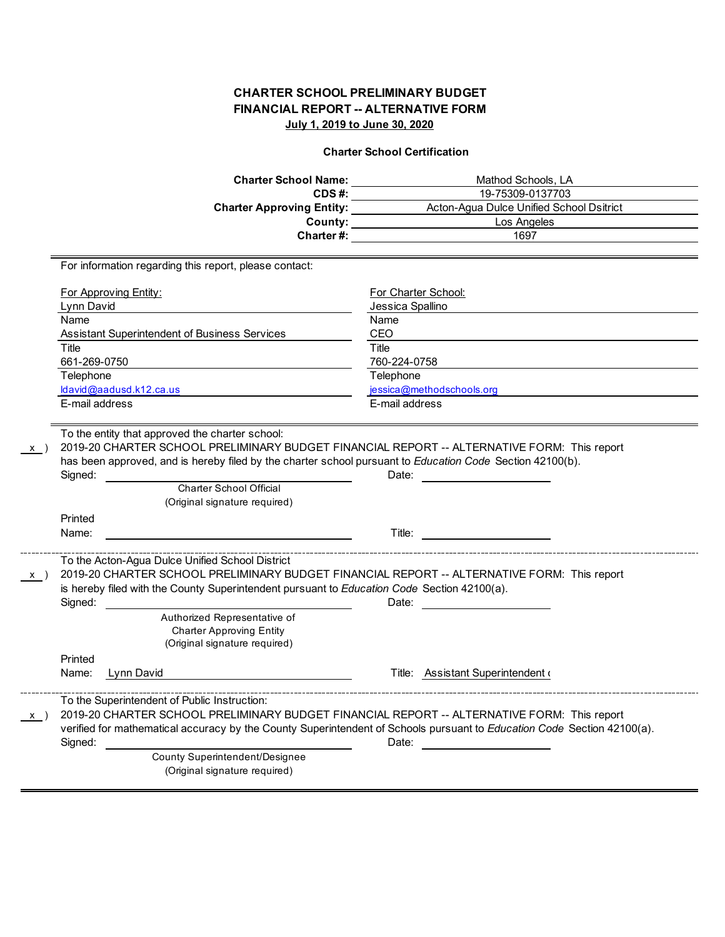## **Charter School Certification**

|              | <b>Charter School Name:</b>                                                                                                                                                                                                                                                                                                                                  | Mathod Schools, LA                                                                                                                                                                                                                  |  |  |  |  |  |
|--------------|--------------------------------------------------------------------------------------------------------------------------------------------------------------------------------------------------------------------------------------------------------------------------------------------------------------------------------------------------------------|-------------------------------------------------------------------------------------------------------------------------------------------------------------------------------------------------------------------------------------|--|--|--|--|--|
|              | CDS#:                                                                                                                                                                                                                                                                                                                                                        | 19-75309-0137703                                                                                                                                                                                                                    |  |  |  |  |  |
|              |                                                                                                                                                                                                                                                                                                                                                              | County: Los Angeles                                                                                                                                                                                                                 |  |  |  |  |  |
|              |                                                                                                                                                                                                                                                                                                                                                              |                                                                                                                                                                                                                                     |  |  |  |  |  |
|              | Charter #:                                                                                                                                                                                                                                                                                                                                                   | 1697                                                                                                                                                                                                                                |  |  |  |  |  |
|              | For information regarding this report, please contact:                                                                                                                                                                                                                                                                                                       |                                                                                                                                                                                                                                     |  |  |  |  |  |
|              | <u>For Approving Entity:</u>                                                                                                                                                                                                                                                                                                                                 | For Charter School:                                                                                                                                                                                                                 |  |  |  |  |  |
|              | Lynn David                                                                                                                                                                                                                                                                                                                                                   | Jessica Spallino                                                                                                                                                                                                                    |  |  |  |  |  |
|              | Name                                                                                                                                                                                                                                                                                                                                                         | Name                                                                                                                                                                                                                                |  |  |  |  |  |
|              | Assistant Superintendent of Business Services                                                                                                                                                                                                                                                                                                                | CEO                                                                                                                                                                                                                                 |  |  |  |  |  |
|              | Title                                                                                                                                                                                                                                                                                                                                                        | Title                                                                                                                                                                                                                               |  |  |  |  |  |
|              | 661-269-0750                                                                                                                                                                                                                                                                                                                                                 | 760-224-0758                                                                                                                                                                                                                        |  |  |  |  |  |
|              | Telephone                                                                                                                                                                                                                                                                                                                                                    | Telephone                                                                                                                                                                                                                           |  |  |  |  |  |
|              | ldavid@aadusd.k12.ca.us<br>E-mail address                                                                                                                                                                                                                                                                                                                    | jessica@methodschools.org<br>E-mail address                                                                                                                                                                                         |  |  |  |  |  |
|              |                                                                                                                                                                                                                                                                                                                                                              |                                                                                                                                                                                                                                     |  |  |  |  |  |
|              | To the entity that approved the charter school:<br>2019-20 CHARTER SCHOOL PRELIMINARY BUDGET FINANCIAL REPORT -- ALTERNATIVE FORM: This report<br>has been approved, and is hereby filed by the charter school pursuant to Education Code Section 42100(b).<br>Signed:<br>Charter School Official<br>(Original signature required)                           |                                                                                                                                                                                                                                     |  |  |  |  |  |
|              | Printed                                                                                                                                                                                                                                                                                                                                                      |                                                                                                                                                                                                                                     |  |  |  |  |  |
|              | Name:                                                                                                                                                                                                                                                                                                                                                        | <b>Title:</b> The contract of the contract of the contract of the contract of the contract of the contract of the contract of the contract of the contract of the contract of the contract of the contract of the contract of the c |  |  |  |  |  |
| $\mathsf{X}$ | To the Acton-Agua Dulce Unified School District<br>2019-20 CHARTER SCHOOL PRELIMINARY BUDGET FINANCIAL REPORT -- ALTERNATIVE FORM: This report<br>is hereby filed with the County Superintendent pursuant to Education Code Section 42100(a).<br>Signed:<br>Authorized Representative of<br><b>Charter Approving Entity</b><br>(Original signature required) |                                                                                                                                                                                                                                     |  |  |  |  |  |
|              | Printed                                                                                                                                                                                                                                                                                                                                                      |                                                                                                                                                                                                                                     |  |  |  |  |  |
|              | Name:<br>Lynn David                                                                                                                                                                                                                                                                                                                                          | Title: Assistant Superintendent of                                                                                                                                                                                                  |  |  |  |  |  |
| x)           | To the Superintendent of Public Instruction:<br>2019-20 CHARTER SCHOOL PRELIMINARY BUDGET FINANCIAL REPORT -- ALTERNATIVE FORM: This report<br>verified for mathematical accuracy by the County Superintendent of Schools pursuant to Education Code Section 42100(a).<br>Signed:<br>County Superintendent/Designee<br>(Original signature required)         | Date:                                                                                                                                                                                                                               |  |  |  |  |  |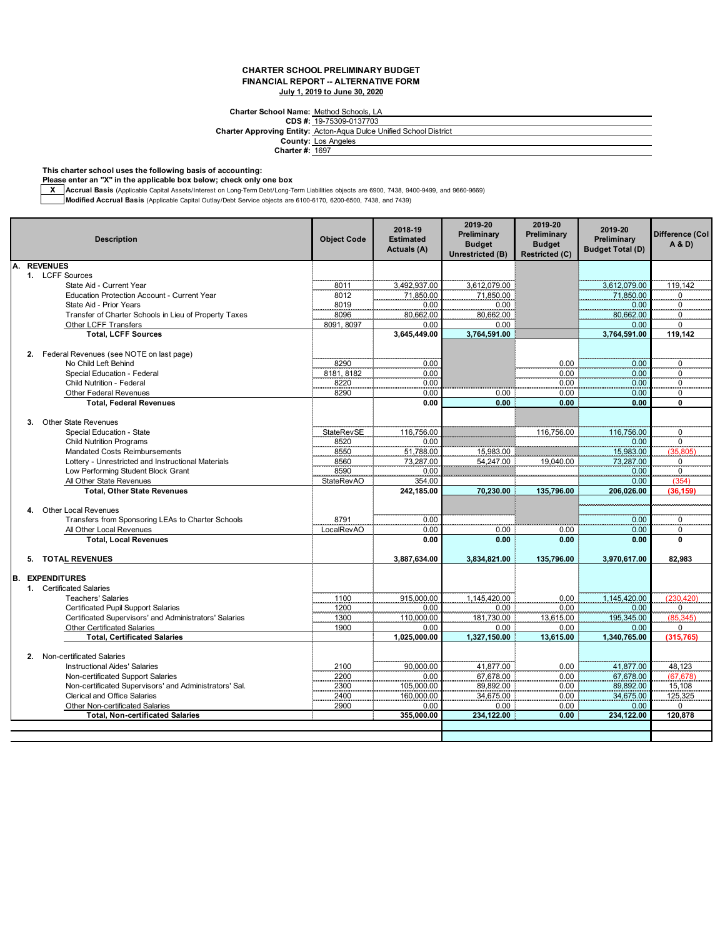### **Charter School Name:** Method Schools, LA

**CDS #:** 19-75309-0137703 **Charter Approving Entity:** Acton-Aqua Dulce Unified School District **County:** Los Angeles

**Charter #:** 1697

**This charter school uses the following basis of accounting:**

**Please enter an "X" in the applicable box below; check only one box**

**X Accrual Basis** (Applicable Capital Assets/Interest on Long-Term Debt/Long-Term Liabilities objects are 6900, 7438, 9400-9499, and 9660-9669)

**Modified Accrual Basis** (Applicable Capital Outlay/Debt Service objects are 6100-6170, 6200-6500, 7438, and 7439)

|    |    | <b>Description</b>                                     | <b>Object Code</b> | 2018-19<br><b>Estimated</b><br>Actuals (A) | 2019-20<br>Preliminary<br><b>Budget</b><br>Unrestricted (B) | 2019-20<br>Preliminary<br><b>Budget</b><br><b>Restricted (C)</b> | 2019-20<br>Preliminary<br><b>Budget Total (D)</b> | <b>Difference (Col</b><br>A & D |
|----|----|--------------------------------------------------------|--------------------|--------------------------------------------|-------------------------------------------------------------|------------------------------------------------------------------|---------------------------------------------------|---------------------------------|
| Α. |    | <b>REVENUES</b>                                        |                    |                                            |                                                             |                                                                  |                                                   |                                 |
|    |    | 1. LCFF Sources                                        |                    |                                            |                                                             |                                                                  |                                                   |                                 |
|    |    | State Aid - Current Year                               | 8011               | 3.492.937.00                               | 3,612,079.00                                                |                                                                  | 3,612,079.00                                      | 119.142                         |
|    |    | Education Protection Account - Current Year            | 8012               | 71,850.00                                  | 71,850.00                                                   |                                                                  | 71,850.00                                         | $\overline{0}$                  |
|    |    | State Aid - Prior Years                                | 8019               | 0.00                                       | 0.00                                                        |                                                                  | 0.00                                              | $\boldsymbol{0}$                |
|    |    | Transfer of Charter Schools in Lieu of Property Taxes  | 8096               | 80,662.00                                  | 80,662.00                                                   |                                                                  | 80,662.00                                         | $\Omega$                        |
|    |    | Other LCFF Transfers<br><b>Total, LCFF Sources</b>     | 8091, 8097         | 0.00<br>3.645.449.00                       | 0.00<br>3.764.591.00                                        |                                                                  | 0.00<br>3,764,591.00                              | 0<br>119.142                    |
|    |    |                                                        |                    |                                            |                                                             |                                                                  |                                                   |                                 |
|    | 2. | Federal Revenues (see NOTE on last page)               |                    |                                            |                                                             |                                                                  |                                                   |                                 |
|    |    | No Child Left Behind                                   | 8290               | 0.00                                       |                                                             | 0.00                                                             | 0.00                                              | $\mathbf 0$                     |
|    |    | Special Education - Federal                            | 8181, 8182         | 0.00                                       |                                                             | 0.00                                                             | 0.00                                              | $\Omega$                        |
|    |    | Child Nutrition - Federal                              | 8220               | 0.00                                       |                                                             | 0.00                                                             | 0.00                                              | 0                               |
|    |    | <b>Other Federal Revenues</b>                          | 8290               | 0.00                                       | 0.00                                                        | 0.00                                                             | 0.00                                              | 0                               |
|    |    | <b>Total, Federal Revenues</b>                         |                    | 0.00                                       | 0.00                                                        | 0.00                                                             | 0.00                                              | 0                               |
|    | 3. | <b>Other State Revenues</b>                            |                    |                                            |                                                             |                                                                  |                                                   |                                 |
|    |    | Special Education - State                              | <b>StateRevSE</b>  | 116.756.00                                 |                                                             | 116,756.00                                                       | 116.756.00                                        | $\mathbf 0$                     |
|    |    | <b>Child Nutrition Programs</b>                        | 8520               | 0.00                                       |                                                             |                                                                  | 0.00                                              | $\overline{\mathbf{0}}$         |
|    |    | <b>Mandated Costs Reimbursements</b>                   | 8550               | 51,788.00                                  | 15,983.00                                                   |                                                                  | 15,983.00                                         | 15,805                          |
|    |    | Lottery - Unrestricted and Instructional Materials     | 8560               | 73,287.00                                  | 54,247.00                                                   | 19.040.00                                                        | 73,287.00                                         | 0                               |
|    |    | Low Performing Student Block Grant                     | 8590               | 0.00                                       |                                                             |                                                                  | 0.00                                              | $\overline{\mathbf{0}}$         |
|    |    | All Other State Revenues                               | <b>StateRevAO</b>  | 354.00                                     |                                                             |                                                                  | 0.00                                              | (354                            |
|    |    | <b>Total, Other State Revenues</b>                     |                    | 242,185.00                                 | 70,230.00                                                   | 135.796.00                                                       | 206.026.00                                        | (36,159                         |
|    | 4. | <b>Other Local Revenues</b>                            |                    |                                            |                                                             |                                                                  |                                                   |                                 |
|    |    | Transfers from Sponsoring LEAs to Charter Schools      | 8791               | 0.00                                       |                                                             |                                                                  | 0.00                                              |                                 |
|    |    | All Other Local Revenues                               | LocalRevAO         | 0.00                                       | 0.00                                                        | 0.00                                                             | 0.00                                              | 0<br>0                          |
|    |    | <b>Total, Local Revenues</b>                           |                    | 0.00                                       | 0.00                                                        | 0.00                                                             | 0.00                                              | $\Omega$                        |
|    |    |                                                        |                    |                                            |                                                             |                                                                  |                                                   |                                 |
|    | 5. | <b>TOTAL REVENUES</b>                                  |                    | 3,887,634.00                               | 3,834,821.00                                                | 135,796.00                                                       | 3,970,617.00                                      | 82,983                          |
|    |    | <b>B. EXPENDITURES</b>                                 |                    |                                            |                                                             |                                                                  |                                                   |                                 |
|    |    | 1. Certificated Salaries                               |                    |                                            |                                                             |                                                                  |                                                   |                                 |
|    |    | <b>Teachers' Salaries</b>                              | 1100               | 915,000.00                                 | 1,145,420.00                                                | 0.00                                                             | 1,145,420.00                                      | (230, 420)                      |
|    |    | <b>Certificated Pupil Support Salaries</b>             | 1200               | 0.00                                       | 0.00                                                        | 0.00                                                             | 0.00                                              | $\overline{0}$                  |
|    |    | Certificated Supervisors' and Administrators' Salaries | 1300               | 110,000.00                                 | 181,730.00                                                  | 13,615.00                                                        | 195,345.00                                        | (85, 345)                       |
|    |    | <b>Other Certificated Salaries</b>                     | 1900               | 0.00                                       | 0.00                                                        | 0.00                                                             | 0.00                                              | 0                               |
|    |    | <b>Total, Certificated Salaries</b>                    |                    | 1,025,000.00                               | 1,327,150.00                                                | 13,615.00                                                        | 1,340,765.00                                      | (315, 765)                      |
|    |    |                                                        |                    |                                            |                                                             |                                                                  |                                                   |                                 |
|    |    | 2. Non-certificated Salaries                           |                    |                                            |                                                             |                                                                  |                                                   |                                 |
|    |    | <b>Instructional Aides' Salaries</b>                   | 2100               | 90,000.00                                  | 41,877.00                                                   | 0.00                                                             | 41,877.00                                         | 48,123                          |
|    |    | Non-certificated Support Salaries                      | 2200               | 0.00                                       | 67,678.00                                                   | 0.00                                                             | 67,678.00                                         | (67, 678)                       |
|    |    | Non-certificated Supervisors' and Administrators' Sal. | 2300               | 105,000.00                                 | 89,892.00                                                   | 0.00                                                             | 89,892.00                                         | 15,108                          |
|    |    | <b>Clerical and Office Salaries</b>                    | 2400               | 160,000.00                                 | 34,675.00                                                   | 0.00                                                             | 34,675.00                                         | 125,325                         |
|    |    | Other Non-certificated Salaries                        | 2900               | 0.00                                       | 0.00                                                        | 0.00                                                             | 0.00                                              | 0                               |
|    |    | <b>Total, Non-certificated Salaries</b>                |                    | 355.000.00                                 | 234.122.00                                                  | 0.00                                                             | 234,122.00                                        | 120,878                         |
|    |    |                                                        |                    |                                            |                                                             |                                                                  |                                                   |                                 |
|    |    |                                                        |                    |                                            |                                                             |                                                                  |                                                   |                                 |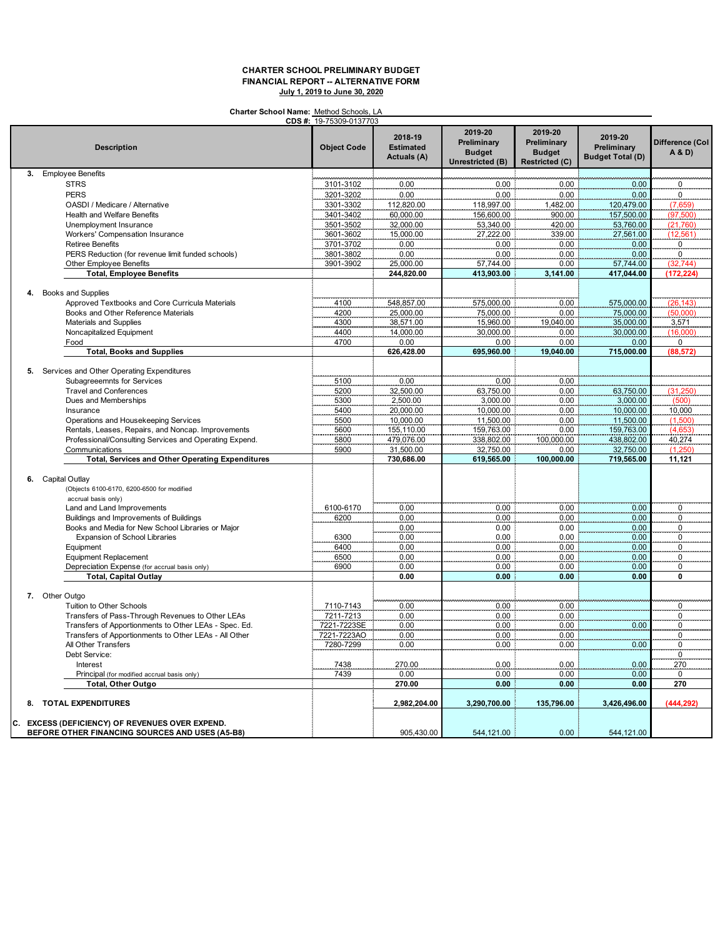**Charter School Name:** Method Schools, LA

|    |                                                                 | CDS #: 19-75309-0137703 |                                            |                                                             |                                                           |                                                   |                           |
|----|-----------------------------------------------------------------|-------------------------|--------------------------------------------|-------------------------------------------------------------|-----------------------------------------------------------|---------------------------------------------------|---------------------------|
|    | <b>Description</b>                                              | <b>Object Code</b>      | 2018-19<br><b>Estimated</b><br>Actuals (A) | 2019-20<br>Preliminary<br><b>Budget</b><br>Unrestricted (B) | 2019-20<br>Preliminary<br><b>Budget</b><br>Restricted (C) | 2019-20<br>Preliminary<br><b>Budget Total (D)</b> | Difference (Col<br>A & D) |
| 3. | <b>Employee Benefits</b>                                        |                         |                                            |                                                             |                                                           |                                                   |                           |
|    | <b>STRS</b>                                                     | 3101-3102               | 0.00                                       | 0.00                                                        | 0.00                                                      | 0.00                                              | 0                         |
|    | <b>PERS</b>                                                     | 3201-3202               | 0.00                                       | 0.00                                                        | 0.00                                                      | 0.00                                              | 0                         |
|    | OASDI / Medicare / Alternative                                  | 3301-3302               | 112,820.00                                 | 118,997.00                                                  | .482.00                                                   | 120,479.00                                        | (7,659)                   |
|    | Health and Welfare Benefits                                     | 3401-3402               | 60,000.00                                  | 156,600.00                                                  | 900.00                                                    | 157,500.00                                        | (97, 500)                 |
|    | Unemployment Insurance                                          | 3501-3502               | 32,000.00                                  | 53,340.00                                                   | 420.00                                                    | 53,760.00                                         | (21, 760)                 |
|    | Workers' Compensation Insurance                                 | 3601-3602               | 15,000.00                                  | 27,222.00                                                   | 339.00                                                    | 27,561.00                                         | (12, 561)                 |
|    | <b>Retiree Benefits</b>                                         | 3701-3702               | 0.00                                       | 0.00                                                        | 0.00                                                      | 0.00                                              | 0                         |
|    | PERS Reduction (for revenue limit funded schools)               | 3801-3802               | 0.00                                       | 0.00                                                        | 0.00                                                      | 0.00                                              | $\cdot$ <sup>0</sup>      |
|    | Other Employee Benefits                                         | 3901-3902               | 25,000.00                                  | 57,744.00                                                   | 0.00                                                      | 57,744.00                                         | (32,744)                  |
|    | <b>Total, Employee Benefits</b>                                 |                         | 244.820.00                                 | 413,903.00                                                  | 3,141.00                                                  | 417.044.00                                        | (172.224)                 |
|    |                                                                 |                         |                                            |                                                             |                                                           |                                                   |                           |
| 4. | Books and Supplies                                              |                         |                                            |                                                             |                                                           |                                                   |                           |
|    | Approved Textbooks and Core Curricula Materials                 | 4100                    | 548,857.00                                 | 575,000.00                                                  | 0.00                                                      | 575,000.00                                        | (26, 143)                 |
|    | Books and Other Reference Materials                             | 4200                    | 25,000.00                                  | 75,000.00                                                   | 0.00                                                      | 75,000.00                                         | (50,000)                  |
|    | <b>Materials and Supplies</b>                                   | 4300                    | 38,571.00                                  | 15,960.00                                                   | 19,040.00                                                 | 35,000.00                                         | 3,571                     |
|    | Noncapitalized Equipment                                        | 4400                    | 14,000.00                                  | 30,000.00                                                   | 0.00                                                      | 30,000.00                                         | (16,000)                  |
|    | Food                                                            | 4700                    | 0.00                                       | 0.00                                                        | 0.00                                                      | 0.00                                              | $\mathbf 0$               |
|    | <b>Total, Books and Supplies</b>                                |                         | 626,428.00                                 | 695,960.00                                                  | 19.040.00                                                 | 715,000.00                                        | (88.572                   |
|    |                                                                 |                         |                                            |                                                             |                                                           |                                                   |                           |
| 5. | Services and Other Operating Expenditures                       |                         |                                            |                                                             |                                                           |                                                   |                           |
|    | Subagreeemnts for Services                                      | 5100                    | 0.00                                       | 0.00                                                        | 0.00                                                      |                                                   |                           |
|    | <b>Travel and Conferences</b>                                   | 5200                    | 32,500.00                                  | 63,750.00                                                   | 0.00                                                      |                                                   |                           |
|    | Dues and Memberships                                            | 5300                    | 2,500.00                                   | 3,000.00                                                    | 0.00                                                      | 63,750.00<br>3,000.00                             | (31,250)                  |
|    | Insurance                                                       | 5400                    | 20,000.00                                  | 10,000.00                                                   | 0.00                                                      | 10,000.00                                         | 10,000                    |
|    | Operations and Housekeeping Services                            |                         | 10,000.00                                  | 11,500.00                                                   | 0.00                                                      |                                                   |                           |
|    |                                                                 | 5500<br>5600            | 155,110.00                                 | 159,763.00                                                  | 0.00                                                      | 11,500.00<br>159,763.00                           | (1,500)                   |
|    | Rentals, Leases, Repairs, and Noncap. Improvements              |                         |                                            |                                                             |                                                           |                                                   | (4,653)                   |
|    | Professional/Consulting Services and Operating Expend.          | 5800                    | 479,076.00<br>31,500.00                    | 338,802.00                                                  | 100,000.00                                                | 438,802.00<br>32,750.00                           | $40,274$<br>(1,250)       |
|    | Communications                                                  | 5900                    |                                            | 32,750.00                                                   | 0.00                                                      |                                                   |                           |
|    | <b>Total, Services and Other Operating Expenditures</b>         |                         | 730,686.00                                 | 619,565.00                                                  | 100,000.00                                                | 719,565.00                                        | 11,121                    |
|    | 6. Capital Outlay<br>(Objects 6100-6170, 6200-6500 for modified |                         |                                            |                                                             |                                                           |                                                   |                           |
|    | accrual basis only)                                             |                         |                                            |                                                             |                                                           |                                                   |                           |
|    | Land and Land Improvements                                      | 6100-6170               | 0.00                                       | 0.00                                                        | 0.00                                                      | 0.00                                              | $\overline{0}$            |
|    | Buildings and Improvements of Buildings                         | 6200                    | $0.00\,$                                   | 0.00                                                        | 0.00                                                      | 0.00                                              | 0                         |
|    | Books and Media for New School Libraries or Major               |                         | 0.00                                       | 0.00                                                        | 0.00                                                      | 0.00                                              | 0                         |
|    | Expansion of School Libraries                                   | 6300                    | 0.00                                       | 0.00                                                        | 0.00                                                      | 0.00                                              | 0                         |
|    | Equipment                                                       | 6400                    | 0.00                                       | 0.00                                                        | 0.00                                                      | 0.00                                              |                           |
|    | <b>Equipment Replacement</b>                                    | 6500                    | 0.00                                       | 0.00                                                        | 0.00                                                      | 0.00                                              | $\overline{0}$<br>0       |
|    | Depreciation Expense (for accrual basis only)                   | 6900                    | 0.00                                       | 0.00                                                        | 0.00                                                      | 0.00                                              | 0                         |
|    | <b>Total, Capital Outlay</b>                                    |                         | 0.00                                       | 0.00                                                        | 0.00                                                      | 0.00                                              | 0                         |
|    |                                                                 |                         |                                            |                                                             |                                                           |                                                   |                           |
|    | 7. Other Outgo                                                  |                         |                                            |                                                             |                                                           |                                                   |                           |
|    | Tuition to Other Schools                                        | 7110-7143               | 0.00                                       | 0.00                                                        | 0.00                                                      |                                                   | 0                         |
|    | Transfers of Pass-Through Revenues to Other LEAs                | 7211-7213               | 0.00                                       | 0.00                                                        | 0.00                                                      |                                                   | 0                         |
|    | Transfers of Apportionments to Other LEAs - Spec. Ed.           | 7221-7223SE             | 0.00                                       | 0.00                                                        | 0.00                                                      | 0.00                                              | 0                         |
|    |                                                                 |                         |                                            |                                                             |                                                           |                                                   |                           |
|    | Transfers of Apportionments to Other LEAs - All Other           | 7221-7223AO             | 0.00                                       | 0.00                                                        | 0.00                                                      |                                                   | 0                         |
|    | All Other Transfers                                             | 7280-7299               | 0.00                                       | 0.00                                                        | 0.00                                                      | 0.00                                              | 0                         |
|    | Debt Service:                                                   |                         |                                            |                                                             |                                                           |                                                   | $\overline{\mathbf{0}}$   |
|    | Interest                                                        | 7438                    | 270.00                                     | 0.00                                                        | 0.00                                                      | 0.00                                              | 270                       |
|    | Principal (for modified accrual basis only)                     | 7439                    | 0.00                                       | 0.00                                                        | 0.00                                                      | 0.00                                              | $\mathbf 0$               |
|    | <b>Total, Other Outgo</b>                                       |                         | 270.00                                     | 0.00                                                        | 0.00                                                      | 0.00                                              | 270                       |
|    | 8. TOTAL EXPENDITURES                                           |                         | 2,982,204.00                               | 3,290,700.00                                                | 135,796.00                                                | 3,426,496.00                                      | (444, 292)                |
|    | C. EXCESS (DEFICIENCY) OF REVENUES OVER EXPEND.                 |                         |                                            |                                                             |                                                           |                                                   |                           |
|    | BEFORE OTHER FINANCING SOURCES AND USES (A5-B8)                 |                         | 905,430.00                                 | 544,121.00                                                  | 0.00                                                      | 544,121.00                                        |                           |
|    |                                                                 |                         |                                            |                                                             |                                                           |                                                   |                           |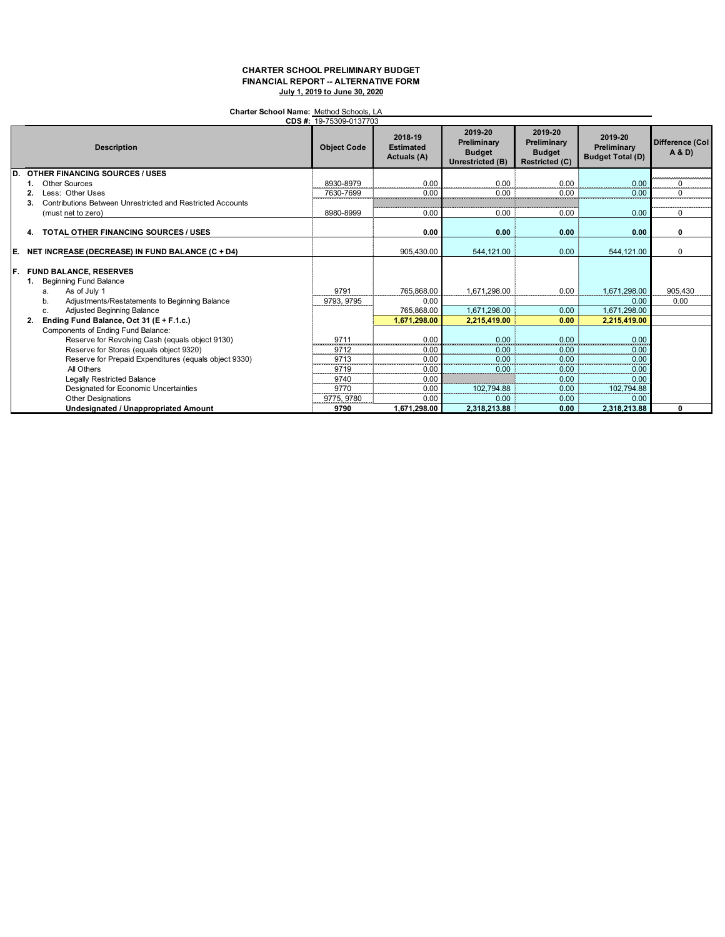### **Charter School Name:** Method Schools, LA

| CDS #: 19-75309-0137703 |                                                                                                                                                                                                                             |                    |                                                  |                                                             |                                                                  |                                                      |                          |  |  |
|-------------------------|-----------------------------------------------------------------------------------------------------------------------------------------------------------------------------------------------------------------------------|--------------------|--------------------------------------------------|-------------------------------------------------------------|------------------------------------------------------------------|------------------------------------------------------|--------------------------|--|--|
|                         | <b>Description</b>                                                                                                                                                                                                          | <b>Object Code</b> | 2018-19<br><b>Estimated</b><br>Actuals (A)       | 2019-20<br>Preliminary<br><b>Budget</b><br>Unrestricted (B) | 2019-20<br>Preliminary<br><b>Budget</b><br><b>Restricted (C)</b> | 2019-20<br>Preliminary<br><b>Budget Total (D)</b>    | Difference (Col<br>A & D |  |  |
| D                       | <b>OTHER FINANCING SOURCES / USES</b>                                                                                                                                                                                       |                    |                                                  |                                                             |                                                                  |                                                      |                          |  |  |
|                         | Other Sources                                                                                                                                                                                                               | 8930-8979          | 0.00                                             | 0.00                                                        | 0.00                                                             | 0.00                                                 |                          |  |  |
|                         | Less: Other Uses                                                                                                                                                                                                            | 7630-7699          | 0.00                                             | 0.00                                                        | 0.00                                                             | 0.00                                                 |                          |  |  |
|                         | <b>Contributions Between Unrestricted and Restricted Accounts</b><br>3.                                                                                                                                                     |                    |                                                  |                                                             |                                                                  |                                                      |                          |  |  |
|                         | (must net to zero)                                                                                                                                                                                                          | 8980-8999          | 0.00                                             | 0.00                                                        | 0.00                                                             | 0.00                                                 | 0                        |  |  |
|                         | <b>TOTAL OTHER FINANCING SOURCES / USES</b><br>4.                                                                                                                                                                           |                    | 0.00                                             | 0.00                                                        | 0.00                                                             | 0.00                                                 | 0                        |  |  |
| IE.                     | NET INCREASE (DECREASE) IN FUND BALANCE (C + D4)                                                                                                                                                                            |                    | 905,430.00                                       | 544,121.00                                                  | 0.00                                                             | 544,121.00                                           | $\Omega$                 |  |  |
| IF.                     | <b>FUND BALANCE, RESERVES</b><br><b>Beginning Fund Balance</b><br>As of July 1<br>a.<br>Adjustments/Restatements to Beginning Balance<br>b.<br>Adjusted Beginning Balance<br>c.<br>Ending Fund Balance, Oct 31 (E + F.1.c.) | 9791<br>9793, 9795 | 765.868.00<br>0.00<br>765,868.00<br>1,671,298.00 | 1.671.298.00<br>1,671,298.00<br>2,215,419.00                | 0.00<br>0.00<br>0.00                                             | 1.671.298.00<br>0.00<br>1,671,298.00<br>2,215,419.00 | 905.430<br>0.00          |  |  |
|                         | Components of Ending Fund Balance:                                                                                                                                                                                          |                    |                                                  |                                                             |                                                                  |                                                      |                          |  |  |
|                         | Reserve for Revolving Cash (equals object 9130)                                                                                                                                                                             | 9711               | 0.00                                             | 0.00                                                        | 0.00                                                             | 0.00                                                 |                          |  |  |
|                         | Reserve for Stores (equals object 9320)                                                                                                                                                                                     | 9712               | 0.00                                             | 0.00                                                        | 0.00                                                             | 0.00                                                 |                          |  |  |
|                         | Reserve for Prepaid Expenditures (equals object 9330)                                                                                                                                                                       | 9713               | 0.00                                             | 0.00                                                        | 0.00                                                             | 0.00                                                 |                          |  |  |
|                         | All Others                                                                                                                                                                                                                  | 9719               | 0.00                                             | 0.00                                                        | 0.00                                                             | 0.00                                                 |                          |  |  |
|                         | <b>Legally Restricted Balance</b>                                                                                                                                                                                           | 9740               | 0.00                                             |                                                             | 0.00                                                             | 0.00                                                 |                          |  |  |
|                         | Designated for Economic Uncertainties                                                                                                                                                                                       | 9770               | 0.00                                             | 102.794.88                                                  | 0.00                                                             | 102,794.88                                           |                          |  |  |
|                         | <b>Other Designations</b>                                                                                                                                                                                                   | 9775.9780          | 0.00                                             | 0.00                                                        | 0.00                                                             | 0.00                                                 |                          |  |  |
|                         | <b>Undesignated / Unappropriated Amount</b>                                                                                                                                                                                 | 9790               | 1,671,298.00                                     | 2,318,213.88                                                | 0.00                                                             | 2,318,213.88                                         | 0                        |  |  |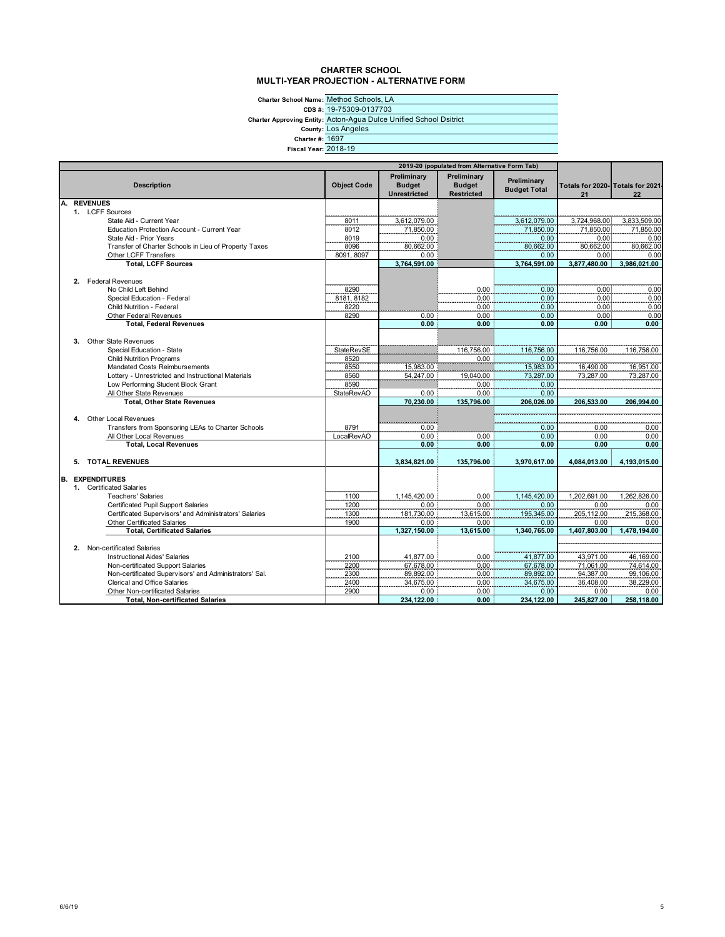#### **CHARTER SCHOOL MULTI-YEAR PROJECTION - ALTERNATIVE FORM**

**Charter School Name:** Method Schools, LA

> **CDS #:** 19-75309-0137703

**Charter Approving Entity:** Acton-Agua Dulce Unified School Dsitrict

**County:** Los Angeles

**Charter #:** 1697

**Fiscal Year:** 2018-19

| 2019-20 (populated from Alternative Form Tab) |    |                                                        |                    |                                                     |                                            |                                    |                                        |                    |
|-----------------------------------------------|----|--------------------------------------------------------|--------------------|-----------------------------------------------------|--------------------------------------------|------------------------------------|----------------------------------------|--------------------|
|                                               |    | <b>Description</b>                                     | <b>Object Code</b> | Preliminary<br><b>Budget</b><br><b>Unrestricted</b> | Preliminary<br><b>Budget</b><br>Restricted | Preliminary<br><b>Budget Total</b> | Totals for 2020- Totals for 2021<br>21 | 22                 |
| А.                                            |    | <b>REVENUES</b>                                        |                    |                                                     |                                            |                                    |                                        |                    |
|                                               |    | 1. LCFF Sources                                        |                    |                                                     |                                            |                                    |                                        |                    |
|                                               |    | State Aid - Current Year                               | 8011               | 3,612,079.00                                        |                                            | 3,612,079.00                       | 3,724,968.00                           | 3,833,509.00       |
|                                               |    | Education Protection Account - Current Year            | 8012               | 71,850.00                                           |                                            | 71,850.00                          | 71,850.00                              | 71,850.00          |
|                                               |    | State Aid - Prior Years                                | 8019               | 0.00                                                |                                            | 0.00                               | 0.00                                   | 0.00               |
|                                               |    | Transfer of Charter Schools in Lieu of Property Taxes  | 8096               | 80,662.00                                           |                                            | 80,662.00                          | 80,662.00                              | 80,662.00          |
|                                               |    | Other LCFF Transfers                                   | 8091, 8097         | 0.00                                                |                                            | 0.00                               | 0.00 <sub>1</sub>                      | 0.00               |
|                                               |    | <b>Total, LCFF Sources</b>                             |                    | 3,764,591.00                                        |                                            | 3,764,591.00                       | 3,877,480.00                           | 3,986,021.00       |
|                                               |    |                                                        |                    |                                                     |                                            |                                    |                                        |                    |
|                                               |    | 2. Federal Revenues                                    |                    |                                                     |                                            |                                    |                                        |                    |
|                                               |    | No Child Left Behind                                   | 8290               |                                                     | 0.00                                       | 0.00                               | 0.00                                   | 0.00               |
|                                               |    | Special Education - Federal                            | 8181, 8182         |                                                     | $0.00$<br>$0.00$                           | $0.00$<br>$0.00$                   | $0.00$<br>$0.00$                       | 0.00               |
|                                               |    | Child Nutrition - Federal                              | 8220               |                                                     |                                            |                                    |                                        | 0.00               |
|                                               |    | Other Federal Revenues                                 | 8290               | 0.00                                                | 0.00                                       | 0.00                               | 0.00.                                  | 0.00               |
|                                               |    | <b>Total, Federal Revenues</b>                         |                    | 0.00                                                | 0.00                                       | 0.00                               | 0.00                                   | 0.00               |
|                                               |    |                                                        |                    |                                                     |                                            |                                    |                                        |                    |
|                                               | 3. | Other State Revenues                                   |                    |                                                     |                                            |                                    |                                        |                    |
|                                               |    | Special Education - State                              | StateRevSE         |                                                     | 116,756.00                                 | 116,756.00                         | 116,756.00                             | 116,756.00         |
|                                               |    | <b>Child Nutrition Programs</b>                        | 8520               |                                                     | 0.00                                       | 0.00                               |                                        |                    |
|                                               |    | Mandated Costs Reimbursements                          | 8550               | 15,983.00                                           |                                            | 15,983.00                          | 16,490.00                              | 16,951.00          |
|                                               |    | Lottery - Unrestricted and Instructional Materials     | 8560               | 54,247.00                                           | 19,040.00                                  | 73,287.00                          | 73,287.00                              | 73,287.00          |
|                                               |    | Low Performing Student Block Grant                     | 8590               |                                                     | 0.00                                       | 0.00                               |                                        |                    |
|                                               |    | All Other State Revenues                               | <b>StateRevAO</b>  | 0.00                                                | 0.00                                       | 0.00                               |                                        |                    |
|                                               |    | <b>Total. Other State Revenues</b>                     |                    | 70,230.00                                           | 135.796.00                                 | 206,026.00                         | 206.533.00                             | 206.994.00         |
|                                               |    |                                                        |                    |                                                     |                                            |                                    |                                        |                    |
|                                               | 4. | Other Local Revenues                                   |                    | <b>Service</b>                                      |                                            |                                    |                                        |                    |
|                                               |    | Transfers from Sponsoring LEAs to Charter Schools      | 8791               | 0.00                                                |                                            | 0.00                               | 0.00                                   | 0.00               |
|                                               |    | All Other Local Revenues                               | LocalRevAO         | 0.00                                                | 0.00                                       | 0.00                               | 0.00                                   | 0.00               |
|                                               |    | <b>Total, Local Revenues</b>                           |                    | 0.00                                                | 0.00                                       | 0.00                               | 0.00                                   | 0.00               |
|                                               |    |                                                        |                    |                                                     |                                            |                                    |                                        |                    |
|                                               | 5. | <b>TOTAL REVENUES</b>                                  |                    | 3,834,821.00                                        | 135,796.00                                 | 3,970,617.00                       | 4,084,013.00                           | 4.193.015.00       |
| B.                                            |    | <b>EXPENDITURES</b>                                    |                    |                                                     |                                            |                                    |                                        |                    |
|                                               |    | 1. Certificated Salaries                               |                    |                                                     |                                            |                                    |                                        |                    |
|                                               |    | <b>Teachers' Salaries</b>                              | <br>1100           | 1,145,420.00                                        | 0.00                                       | 1,145,420.00                       | 1,202,691.00                           | 1,262,826.00       |
|                                               |    | <b>Certificated Pupil Support Salaries</b>             |                    | $0.00\,$                                            |                                            |                                    | 0.00                                   |                    |
|                                               |    | Certificated Supervisors' and Administrators' Salaries | 1200<br>1300       | 181,730.00                                          | 0.00<br>13,615.00                          | 0.00<br>195,345.00                 | 205,112.00                             | 0.00<br>215,368.00 |
|                                               |    | <b>Other Certificated Salaries</b>                     | 1900               | 0.00                                                | 0.00                                       | 0.00                               | 0.00                                   | 0.00               |
|                                               |    | <b>Total, Certificated Salaries</b>                    |                    | 1.327.150.00                                        | 13.615.00                                  | 1,340,765.00                       | 1.407.803.00                           | 1.478.194.00       |
|                                               |    |                                                        |                    |                                                     |                                            |                                    |                                        |                    |
|                                               | 2. | Non-certificated Salaries                              |                    |                                                     |                                            |                                    |                                        |                    |
|                                               |    | <b>Instructional Aides' Salaries</b>                   | 2100               | 41,877.00                                           | 0.00                                       | 41,877.00                          | 43,971.00                              | 46,169.00          |
|                                               |    | Non-certificated Support Salaries                      | 2200               | 67,678.00                                           | 0.00                                       | 67,678.00                          | 71,061.00                              | 74,614.00          |
|                                               |    | Non-certificated Supervisors' and Administrators' Sal. | 2300               | 89,892.00                                           | 0.00                                       | 89,892.00                          | 94,387.00                              | 99,106.00          |
|                                               |    | <b>Clerical and Office Salaries</b>                    | 2400               | 34,675.00                                           | 0.00                                       | 34,675.00                          | 36,408.00                              | 38,229.00          |
|                                               |    | Other Non-certificated Salaries                        | 2900               | 0.00                                                | 0.00                                       | 0.00                               | 0.00                                   | 0.00               |
|                                               |    | <b>Total, Non-certificated Salaries</b>                |                    | 234,122.00                                          | 0.00                                       | 234,122.00                         | 245,827.00                             | 258,118.00         |
|                                               |    |                                                        |                    |                                                     |                                            |                                    |                                        |                    |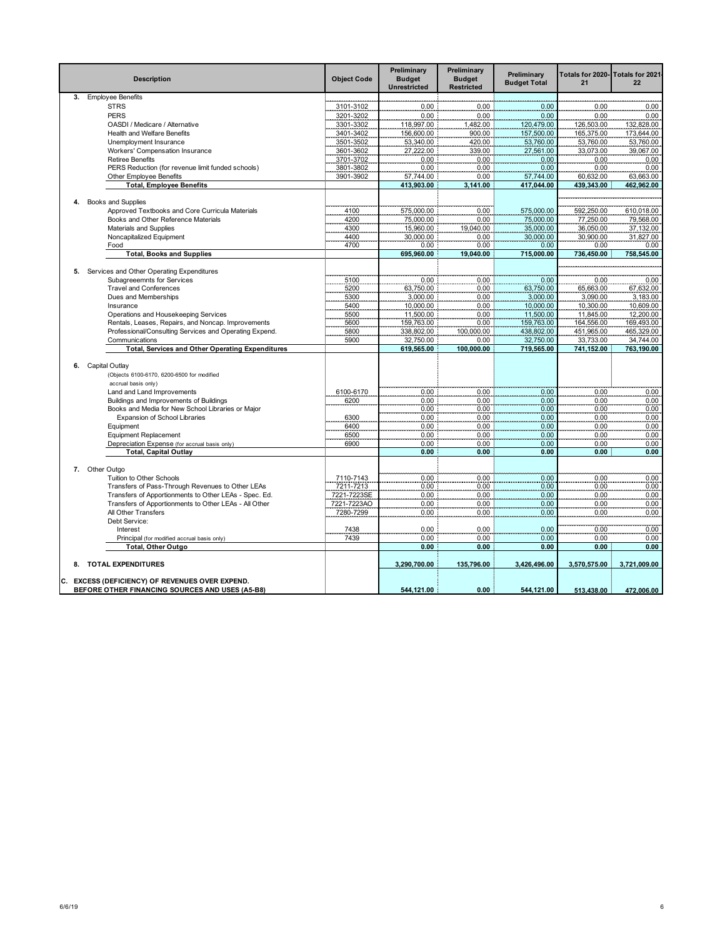|    | <b>Description</b>                                                        | <b>Object Code</b> | Preliminary<br><b>Budget</b><br><b>Unrestricted</b> | Preliminary<br><b>Budget</b><br><b>Restricted</b> | Preliminary<br><b>Budget Total</b> | Totals for 2020-<br>21  | Totals for 2021<br>22   |
|----|---------------------------------------------------------------------------|--------------------|-----------------------------------------------------|---------------------------------------------------|------------------------------------|-------------------------|-------------------------|
|    | 3. Employee Benefits                                                      |                    |                                                     |                                                   |                                    |                         |                         |
|    | <b>STRS</b>                                                               | 3101-3102          | 0.00                                                | 0.00                                              | 0.00                               | 0.00                    | 0.00                    |
|    | <b>PERS</b>                                                               | 3201-3202          | 0.00                                                | 0.00                                              | 0.00                               | 0.00                    | 0.00                    |
|    | OASDI / Medicare / Alternative                                            | 3301-3302          | 118,997.00                                          | 1,482.00                                          | 120,479.00                         | 126,503.00              | 132,828.00              |
|    | Health and Welfare Benefits                                               | 3401-3402          | 156,600.00                                          | 900.00                                            | 157,500.00                         | 165,375.00              | 173,644.00              |
|    | Unemployment Insurance                                                    | 3501-3502          | 53,340.00                                           | 420.00                                            | 53,760.00                          | 53,760.00               | 53,760.00               |
|    | Workers' Compensation Insurance                                           | 3601-3602          | 27,222.00                                           | 339.00                                            | 27,561.00                          | 33,073.00               | 39,067.00               |
|    | <b>Retiree Benefits</b>                                                   | 3701-3702          | 0.00                                                | 0.00                                              | 0.00                               | 0.00                    | 0.00                    |
|    | PERS Reduction (for revenue limit funded schools)                         | 3801-3802          | 0.00                                                | 0.00                                              | 0.00                               | 0.00                    | 0.00                    |
|    | Other Employee Benefits                                                   | 3901-3902          | 57.744.00                                           | 0.00                                              | 57,744.00                          | 60,632.00               | 63,663.00               |
|    | <b>Total, Employee Benefits</b>                                           |                    | 413,903.00                                          | 3,141.00                                          | 417,044.00                         | 439,343.00              | 462,962.00              |
|    |                                                                           |                    |                                                     |                                                   |                                    |                         |                         |
| 4. | <b>Books and Supplies</b>                                                 |                    |                                                     |                                                   |                                    |                         |                         |
|    | Approved Textbooks and Core Curricula Materials                           | 4100               | 575,000.00                                          | 0.00                                              | 575,000.00                         | 592,250.00              | 610,018.00              |
|    | Books and Other Reference Materials                                       | 4200               | 75,000.00                                           | 0.00                                              | 75,000.00                          | 77,250.00               | 79,568.00               |
|    | Materials and Supplies                                                    | 4300<br>4400       | 15,960.00<br>30,000.00                              | 19,040.00                                         | 35,000.00<br>30,000.00             | 36,050.00<br>30,900.00  | 37,132.00<br>31,827.00  |
|    | Noncapitalized Equipment                                                  |                    |                                                     | 0.00                                              |                                    |                         |                         |
|    | Food                                                                      | 4700               | 0.00                                                | 0.00                                              | 0.00                               | 0.00                    | 0.00                    |
|    | <b>Total, Books and Supplies</b>                                          |                    | 695,960.00                                          | 19,040.00                                         | 715,000.00                         | 736,450.00              | 758,545.00              |
| 5. | Services and Other Operating Expenditures                                 |                    |                                                     |                                                   |                                    |                         |                         |
|    | Subagreeemnts for Services                                                | 5100               | 0.00                                                | 0.00                                              | 0.00                               | 0.00                    | 0.00                    |
|    | <b>Travel and Conferences</b>                                             | 5200               | 63,750.00                                           | 0.00                                              | 63,750.00                          | 65,663.00               | 67,632.00               |
|    | Dues and Memberships                                                      | 5300               | 3,000.00                                            | 0.00                                              | 3,000.00                           | 3,090.00                | 3,183.00                |
|    | Insurance                                                                 | 5400               | 10,000.00                                           | 0.00                                              | 10,000.00                          | 10,300.00               | 10,609.00               |
|    |                                                                           |                    |                                                     |                                                   |                                    |                         |                         |
|    | Operations and Housekeeping Services                                      | 5500               | 11,500.00                                           | 0.00                                              | 11,500.00                          | 11,845.00               | 12,200.00               |
|    | Rentals, Leases, Repairs, and Noncap. Improvements                        | 5600               | 159,763.00                                          | 0.00                                              | 159,763.00                         | 164,556.00              | 169,493.00              |
|    | Professional/Consulting Services and Operating Expend.                    | 5800<br>5900       | 338,802.00                                          | 100,000.00<br>0.00                                | 438,802.00                         | 451,965.00              | 465,329.00              |
|    | Communications<br><b>Total, Services and Other Operating Expenditures</b> |                    | 32,750.00<br>619,565.00                             | 100,000.00                                        | 32,750.00<br>719,565.00            | 33,733.00<br>741,152.00 | 34,744.00<br>763,190.00 |
|    |                                                                           |                    |                                                     |                                                   |                                    |                         |                         |
| 6. | Capital Outlay                                                            |                    |                                                     |                                                   |                                    |                         |                         |
|    | (Objects 6100-6170, 6200-6500 for modified                                |                    |                                                     |                                                   |                                    |                         |                         |
|    | accrual basis only)                                                       |                    |                                                     |                                                   |                                    |                         |                         |
|    | Land and Land Improvements                                                | 6100-6170          | 0.00                                                | 0.00                                              | 0.00                               | 0.00                    | 0.00                    |
|    | Buildings and Improvements of Buildings                                   | 6200               | 0.00                                                | 0.00                                              | 0.00                               | 0.00                    | 0.00                    |
|    | Books and Media for New School Libraries or Major                         |                    | 0.00                                                | 0.00                                              | 0.00                               | 0.00                    | 0.00                    |
|    | Expansion of School Libraries                                             | 6300               | 0.00                                                | 0.00                                              | 0.00                               | 0.00                    | 0.00                    |
|    | Equipment                                                                 | 6400               | 0.00                                                | 0.00                                              | 0.00                               | 0.00                    | 0.00                    |
|    | <b>Equipment Replacement</b>                                              | 6500               | 0.00                                                | 0.00                                              | 0.00                               | 0.00                    | 0.00                    |
|    | Depreciation Expense (for accrual basis only)                             | 6900               | 0.00                                                | 0.00                                              | 0.00                               | 0.00                    | 0.00                    |
|    | <b>Total, Capital Outlay</b>                                              |                    | 0.00                                                | 0.00                                              | 0.00                               | 0.00                    | 0.00                    |
|    |                                                                           |                    |                                                     |                                                   |                                    |                         |                         |
|    | 7. Other Outgo                                                            |                    |                                                     |                                                   |                                    |                         |                         |
|    | Tuition to Other Schools                                                  | 7110-7143          | 0.00                                                | 0.00                                              | 0.00                               | 0.00                    | 0.00                    |
|    | Transfers of Pass-Through Revenues to Other LEAs                          | 7211-7213          | 0.00                                                | 0.00                                              | 0.00                               | 0.00                    | 0.00                    |
|    | Transfers of Apportionments to Other LEAs - Spec. Ed.                     | 7221-7223SE        | 0.00                                                | 0.00                                              | 0.00                               | 0.00                    | 0.00                    |
|    | Transfers of Apportionments to Other LEAs - All Other                     | 7221-7223AO        | 0.00                                                | 0.00                                              | 0.00                               | 0.00                    | 0.00                    |
|    | All Other Transfers                                                       | 7280-7299          | 0.00                                                | 0.00                                              | 0.00                               | 0.00                    | 0.00                    |
|    | Debt Service:                                                             |                    |                                                     |                                                   |                                    |                         |                         |
|    | Interest                                                                  | 7438               | 0.00                                                | 0.00                                              | 0.00                               | 0.00                    | 0.00                    |
|    | Principal (for modified accrual basis only)                               | 7439               | 0.00                                                | 0.00                                              | 0.00                               | 0.00                    | 0.00                    |
|    | Total, Other Outgo                                                        |                    | 0.00                                                | 0.00                                              | 0.00                               | 0.00                    | 0.00                    |
|    | 8. TOTAL EXPENDITURES                                                     |                    | 3.290.700.00                                        | 135,796.00                                        | 3,426,496.00                       | 3,570,575.00            | 3.721.009.00            |
|    | C. EXCESS (DEFICIENCY) OF REVENUES OVER EXPEND.                           |                    |                                                     |                                                   |                                    |                         |                         |
|    | BEFORE OTHER FINANCING SOURCES AND USES (A5-B8)                           |                    | 544.121.00                                          | 0.00                                              | 544.121.00                         | 513.438.00              | 472.006.00              |